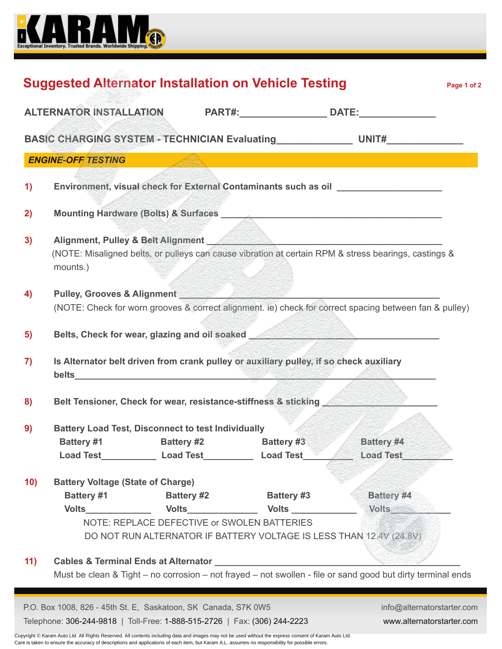

|                                                                                                                                                                                                                                                                                                     |                            |                                                                                                                    | ALTERNATOR INSTALLATION PART#:__________________ DATE:_____________                                                                                                                                                                 |
|-----------------------------------------------------------------------------------------------------------------------------------------------------------------------------------------------------------------------------------------------------------------------------------------------------|----------------------------|--------------------------------------------------------------------------------------------------------------------|-------------------------------------------------------------------------------------------------------------------------------------------------------------------------------------------------------------------------------------|
|                                                                                                                                                                                                                                                                                                     |                            |                                                                                                                    | BASIC CHARGING SYSTEM - TECHNICIAN Evaluating __________________________________                                                                                                                                                    |
| <b>ENGINE-OFF TESTING</b>                                                                                                                                                                                                                                                                           |                            |                                                                                                                    |                                                                                                                                                                                                                                     |
| $\left( \mathbf{1}\right)$                                                                                                                                                                                                                                                                          |                            |                                                                                                                    | Environment, visual check for External Contaminants such as oil ________________                                                                                                                                                    |
| 2)                                                                                                                                                                                                                                                                                                  |                            |                                                                                                                    | Mounting Hardware (Bolts) & Surfaces Manual Account of the United States Manual Account of the United States Manual Account of the United States Manual Account of the United States Manual Account of the United States Manua      |
| 3)<br>mounts.)                                                                                                                                                                                                                                                                                      |                            |                                                                                                                    | (NOTE: Misaligned belts, or pulleys can cause vibration at certain RPM & stress bearings, castings &                                                                                                                                |
| 4)                                                                                                                                                                                                                                                                                                  |                            | Pulley, Grooves & Alignment Management Alexander Management Alexander Management Alexander Management Alexander    | (NOTE: Check for worn grooves & correct alignment. ie) check for correct spacing between fan & pulley)                                                                                                                              |
| 5)                                                                                                                                                                                                                                                                                                  |                            |                                                                                                                    | Belts, Check for wear, glazing and oil soaked <b>Change and School and School and School</b> School and School and School and School and School and School and School and School and School and School and School and School and Sc |
| $\mathbf{7}$                                                                                                                                                                                                                                                                                        |                            | Is Alternator belt driven from crank pulley or auxiliary pulley, if so check auxiliary                             |                                                                                                                                                                                                                                     |
| 8)                                                                                                                                                                                                                                                                                                  |                            | Belt Tensioner, Check for wear, resistance-stiffness & sticking                                                    |                                                                                                                                                                                                                                     |
| <b>Battery Load Test, Disconnect to test Individually</b><br>9)<br><b>Load Test</b>                                                                                                                                                                                                                 | <b>Example 2 Load Test</b> | Battery #1 Battery #2 Battery #3<br><b>Load Test_</b>                                                              | Battery #4<br><b>Load Test</b>                                                                                                                                                                                                      |
|                                                                                                                                                                                                                                                                                                     | <b>Battery #2</b>          | <b>Battery #3</b>                                                                                                  | Battery #4                                                                                                                                                                                                                          |
| <b>Battery Voltage (State of Charge)</b><br><b>Battery #1</b><br><b>Volts</b> and the voltage of the voltage of the voltage of the voltage of the voltage of the voltage of the voltage of the voltage of the voltage of the voltage of the voltage of the voltage of the voltage of the voltage of |                            | <b>Volts Volts Volts</b>                                                                                           | <b>Volts</b>                                                                                                                                                                                                                        |
|                                                                                                                                                                                                                                                                                                     |                            | NOTE: REPLACE DEFECTIVE or SWOLEN BATTERIES<br>DO NOT RUN ALTERNATOR IF BATTERY VOLTAGE IS LESS THAN 12.4V (24.8V) |                                                                                                                                                                                                                                     |
| 10)<br>11)                                                                                                                                                                                                                                                                                          |                            |                                                                                                                    | Must be clean & Tight - no corrosion - not frayed - not swollen - file or sand good but dirty terminal ends                                                                                                                         |

Copyright © Karam Auto Ltd. All Rights Reserved. All contents including data and images may not be used without the express consent of Karam Auto Ltd. Care is taken to ensure the accuracy of descriptions and applications of each item, but Karam A.L. assumes no responsibility for possible errors.